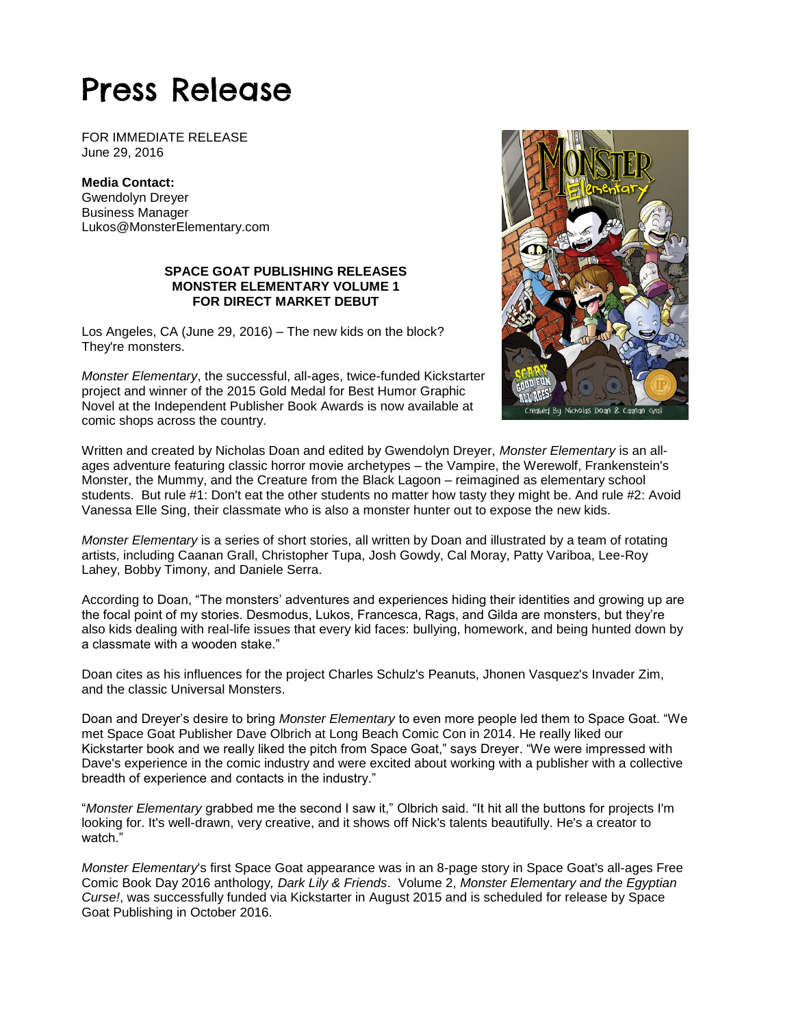# Press Release

FOR IMMEDIATE RELEASE June 29, 2016

**Media Contact:** Gwendolyn Dreyer Business Manager Lukos@MonsterElementary.com

### **SPACE GOAT PUBLISHING RELEASES MONSTER ELEMENTARY VOLUME 1 FOR DIRECT MARKET DEBUT**

Los Angeles, CA (June 29, 2016) – The new kids on the block? They're monsters.

*Monster Elementary*, the successful, all-ages, twice-funded Kickstarter project and winner of the 2015 Gold Medal for Best Humor Graphic Novel at the Independent Publisher Book Awards is now available at comic shops across the country.



Written and created by Nicholas Doan and edited by Gwendolyn Dreyer, *Monster Elementary* is an allages adventure featuring classic horror movie archetypes – the Vampire, the Werewolf, Frankenstein's Monster, the Mummy, and the Creature from the Black Lagoon – reimagined as elementary school students. But rule #1: Don't eat the other students no matter how tasty they might be. And rule #2: Avoid Vanessa Elle Sing, their classmate who is also a monster hunter out to expose the new kids.

*Monster Elementary* is a series of short stories, all written by Doan and illustrated by a team of rotating artists, including Caanan Grall, Christopher Tupa, Josh Gowdy, Cal Moray, Patty Variboa, Lee-Roy Lahey, Bobby Timony, and Daniele Serra.

According to Doan, "The monsters' adventures and experiences hiding their identities and growing up are the focal point of my stories. Desmodus, Lukos, Francesca, Rags, and Gilda are monsters, but they're also kids dealing with real-life issues that every kid faces: bullying, homework, and being hunted down by a classmate with a wooden stake."

Doan cites as his influences for the project Charles Schulz's Peanuts, Jhonen Vasquez's Invader Zim, and the classic Universal Monsters.

Doan and Dreyer's desire to bring *Monster Elementary* to even more people led them to Space Goat. "We met Space Goat Publisher Dave Olbrich at Long Beach Comic Con in 2014. He really liked our Kickstarter book and we really liked the pitch from Space Goat," says Dreyer. "We were impressed with Dave's experience in the comic industry and were excited about working with a publisher with a collective breadth of experience and contacts in the industry."

"*Monster Elementary* grabbed me the second I saw it," Olbrich said. "It hit all the buttons for projects I'm looking for. It's well-drawn, very creative, and it shows off Nick's talents beautifully. He's a creator to watch.'

*Monster Elementary*'s first Space Goat appearance was in an 8-page story in Space Goat's all-ages Free Comic Book Day 2016 anthology*, Dark Lily & Friends*. Volume 2, *Monster Elementary and the Egyptian Curse!*, was successfully funded via Kickstarter in August 2015 and is scheduled for release by Space Goat Publishing in October 2016.